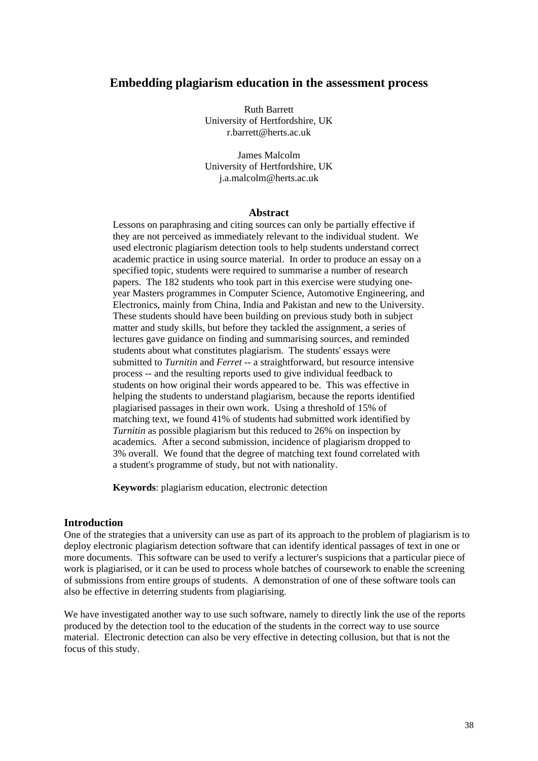## **Embedding plagiarism education in the assessment process**

Ruth Barrett University of Hertfordshire, UK r.barrett@herts.ac.uk

James Malcolm University of Hertfordshire, UK j.a.malcolm@herts.ac.uk

#### **Abstract**

Lessons on paraphrasing and citing sources can only be partially effective if they are not perceived as immediately relevant to the individual student. We used electronic plagiarism detection tools to help students understand correct academic practice in using source material. In order to produce an essay on a specified topic, students were required to summarise a number of research papers. The 182 students who took part in this exercise were studying oneyear Masters programmes in Computer Science, Automotive Engineering, and Electronics, mainly from China, India and Pakistan and new to the University. These students should have been building on previous study both in subject matter and study skills, but before they tackled the assignment, a series of lectures gave guidance on finding and summarising sources, and reminded students about what constitutes plagiarism. The students' essays were submitted to *Turnitin* and *Ferret* -- a straightforward, but resource intensive process -- and the resulting reports used to give individual feedback to students on how original their words appeared to be. This was effective in helping the students to understand plagiarism, because the reports identified plagiarised passages in their own work. Using a threshold of 15% of matching text, we found 41% of students had submitted work identified by *Turnitin* as possible plagiarism but this reduced to 26% on inspection by academics. After a second submission, incidence of plagiarism dropped to 3% overall. We found that the degree of matching text found correlated with a student's programme of study, but not with nationality.

**Keywords**: plagiarism education, electronic detection

#### **Introduction**

One of the strategies that a university can use as part of its approach to the problem of plagiarism is to deploy electronic plagiarism detection software that can identify identical passages of text in one or more documents. This software can be used to verify a lecturer's suspicions that a particular piece of work is plagiarised, or it can be used to process whole batches of coursework to enable the screening of submissions from entire groups of students. A demonstration of one of these software tools can also be effective in deterring students from plagiarising.

We have investigated another way to use such software, namely to directly link the use of the reports produced by the detection tool to the education of the students in the correct way to use source material. Electronic detection can also be very effective in detecting collusion, but that is not the focus of this study.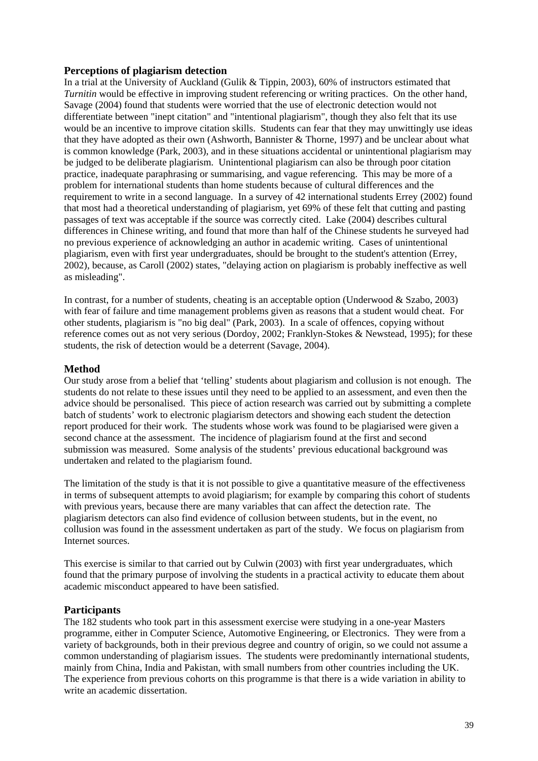# **Perceptions of plagiarism detection**

In a trial at the University of Auckland (Gulik & Tippin, 2003), 60% of instructors estimated that *Turnitin* would be effective in improving student referencing or writing practices. On the other hand, Savage (2004) found that students were worried that the use of electronic detection would not differentiate between "inept citation" and "intentional plagiarism", though they also felt that its use would be an incentive to improve citation skills. Students can fear that they may unwittingly use ideas that they have adopted as their own (Ashworth, Bannister & Thorne, 1997) and be unclear about what is common knowledge (Park, 2003), and in these situations accidental or unintentional plagiarism may be judged to be deliberate plagiarism. Unintentional plagiarism can also be through poor citation practice, inadequate paraphrasing or summarising, and vague referencing. This may be more of a problem for international students than home students because of cultural differences and the requirement to write in a second language. In a survey of 42 international students Errey (2002) found that most had a theoretical understanding of plagiarism, yet 69% of these felt that cutting and pasting passages of text was acceptable if the source was correctly cited. Lake (2004) describes cultural differences in Chinese writing, and found that more than half of the Chinese students he surveyed had no previous experience of acknowledging an author in academic writing. Cases of unintentional plagiarism, even with first year undergraduates, should be brought to the student's attention (Errey, 2002), because, as Caroll (2002) states, "delaying action on plagiarism is probably ineffective as well as misleading".

In contrast, for a number of students, cheating is an acceptable option (Underwood & Szabo, 2003) with fear of failure and time management problems given as reasons that a student would cheat. For other students, plagiarism is "no big deal" (Park, 2003). In a scale of offences, copying without reference comes out as not very serious (Dordoy, 2002; Franklyn-Stokes & Newstead, 1995); for these students, the risk of detection would be a deterrent (Savage, 2004).

## **Method**

Our study arose from a belief that 'telling' students about plagiarism and collusion is not enough. The students do not relate to these issues until they need to be applied to an assessment, and even then the advice should be personalised. This piece of action research was carried out by submitting a complete batch of students' work to electronic plagiarism detectors and showing each student the detection report produced for their work. The students whose work was found to be plagiarised were given a second chance at the assessment. The incidence of plagiarism found at the first and second submission was measured. Some analysis of the students' previous educational background was undertaken and related to the plagiarism found.

The limitation of the study is that it is not possible to give a quantitative measure of the effectiveness in terms of subsequent attempts to avoid plagiarism; for example by comparing this cohort of students with previous years, because there are many variables that can affect the detection rate. The plagiarism detectors can also find evidence of collusion between students, but in the event, no collusion was found in the assessment undertaken as part of the study. We focus on plagiarism from Internet sources.

This exercise is similar to that carried out by Culwin (2003) with first year undergraduates, which found that the primary purpose of involving the students in a practical activity to educate them about academic misconduct appeared to have been satisfied.

### **Participants**

The 182 students who took part in this assessment exercise were studying in a one-year Masters programme, either in Computer Science, Automotive Engineering, or Electronics. They were from a variety of backgrounds, both in their previous degree and country of origin, so we could not assume a common understanding of plagiarism issues. The students were predominantly international students, mainly from China, India and Pakistan, with small numbers from other countries including the UK. The experience from previous cohorts on this programme is that there is a wide variation in ability to write an academic dissertation.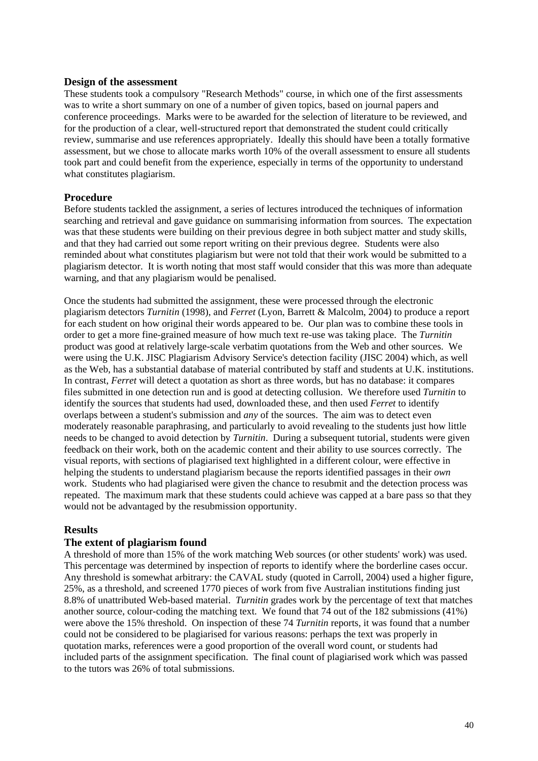### **Design of the assessment**

These students took a compulsory "Research Methods" course, in which one of the first assessments was to write a short summary on one of a number of given topics, based on journal papers and conference proceedings. Marks were to be awarded for the selection of literature to be reviewed, and for the production of a clear, well-structured report that demonstrated the student could critically review, summarise and use references appropriately. Ideally this should have been a totally formative assessment, but we chose to allocate marks worth 10% of the overall assessment to ensure all students took part and could benefit from the experience, especially in terms of the opportunity to understand what constitutes plagiarism.

## **Procedure**

Before students tackled the assignment, a series of lectures introduced the techniques of information searching and retrieval and gave guidance on summarising information from sources. The expectation was that these students were building on their previous degree in both subject matter and study skills, and that they had carried out some report writing on their previous degree. Students were also reminded about what constitutes plagiarism but were not told that their work would be submitted to a plagiarism detector. It is worth noting that most staff would consider that this was more than adequate warning, and that any plagiarism would be penalised.

Once the students had submitted the assignment, these were processed through the electronic plagiarism detectors *Turnitin* (1998), and *Ferret* (Lyon, Barrett & Malcolm, 2004) to produce a report for each student on how original their words appeared to be. Our plan was to combine these tools in order to get a more fine-grained measure of how much text re-use was taking place. The *Turnitin* product was good at relatively large-scale verbatim quotations from the Web and other sources. We were using the U.K. JISC Plagiarism Advisory Service's detection facility (JISC 2004) which, as well as the Web, has a substantial database of material contributed by staff and students at U.K. institutions. In contrast, *Ferret* will detect a quotation as short as three words, but has no database: it compares files submitted in one detection run and is good at detecting collusion. We therefore used *Turnitin* to identify the sources that students had used, downloaded these, and then used *Ferret* to identify overlaps between a student's submission and *any* of the sources. The aim was to detect even moderately reasonable paraphrasing, and particularly to avoid revealing to the students just how little needs to be changed to avoid detection by *Turnitin*. During a subsequent tutorial, students were given feedback on their work, both on the academic content and their ability to use sources correctly. The visual reports, with sections of plagiarised text highlighted in a different colour, were effective in helping the students to understand plagiarism because the reports identified passages in their *own* work. Students who had plagiarised were given the chance to resubmit and the detection process was repeated. The maximum mark that these students could achieve was capped at a bare pass so that they would not be advantaged by the resubmission opportunity.

### **Results**

### **The extent of plagiarism found**

A threshold of more than 15% of the work matching Web sources (or other students' work) was used. This percentage was determined by inspection of reports to identify where the borderline cases occur. Any threshold is somewhat arbitrary: the CAVAL study (quoted in Carroll, 2004) used a higher figure, 25%, as a threshold, and screened 1770 pieces of work from five Australian institutions finding just 8.8% of unattributed Web-based material. *Turnitin* grades work by the percentage of text that matches another source, colour-coding the matching text. We found that 74 out of the 182 submissions (41%) were above the 15% threshold. On inspection of these 74 *Turnitin* reports, it was found that a number could not be considered to be plagiarised for various reasons: perhaps the text was properly in quotation marks, references were a good proportion of the overall word count, or students had included parts of the assignment specification. The final count of plagiarised work which was passed to the tutors was 26% of total submissions.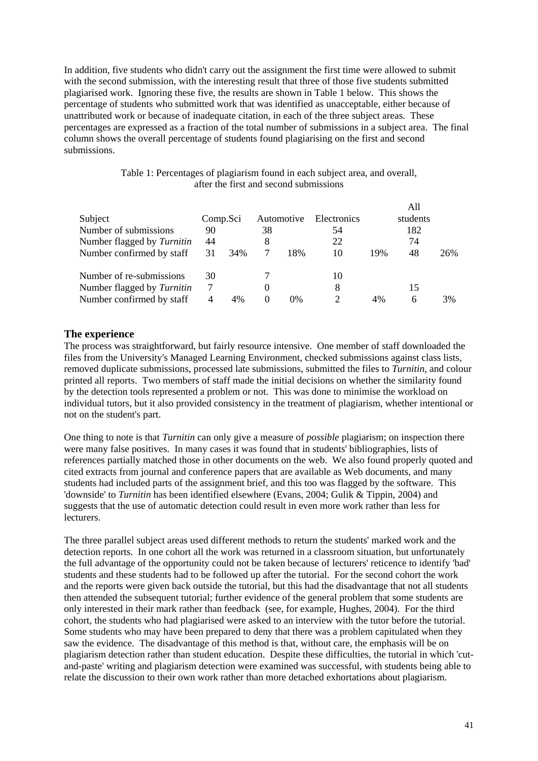In addition, five students who didn't carry out the assignment the first time were allowed to submit with the second submission, with the interesting result that three of those five students submitted plagiarised work. Ignoring these five, the results are shown in Table 1 below. This shows the percentage of students who submitted work that was identified as unacceptable, either because of unattributed work or because of inadequate citation, in each of the three subject areas. These percentages are expressed as a fraction of the total number of submissions in a subject area. The final column shows the overall percentage of students found plagiarising on the first and second submissions.

| Table 1: Percentages of plagiarism found in each subject area, and overall, |  |
|-----------------------------------------------------------------------------|--|
| after the first and second submissions                                      |  |

|                            |                |     |    |            |             |     | A11      |     |
|----------------------------|----------------|-----|----|------------|-------------|-----|----------|-----|
| Subject                    | Comp.Sci       |     |    | Automotive | Electronics |     | students |     |
| Number of submissions      | 90             |     | 38 |            | 54          |     | 182      |     |
| Number flagged by Turnitin | 44             |     |    |            | 22          |     | 74       |     |
| Number confirmed by staff  | 31             | 34% |    | 18%        | 10          | 19% | 48       | 26% |
| Number of re-submissions   | 30             |     |    |            | 10          |     |          |     |
| Number flagged by Turnitin | 7              |     |    |            | 8           |     | 15       |     |
| Number confirmed by staff  | $\overline{4}$ | 4%  |    | $0\%$      |             | 4%  | 6        | 3%  |

## **The experience**

The process was straightforward, but fairly resource intensive. One member of staff downloaded the files from the University's Managed Learning Environment, checked submissions against class lists, removed duplicate submissions, processed late submissions, submitted the files to *Turnitin*, and colour printed all reports. Two members of staff made the initial decisions on whether the similarity found by the detection tools represented a problem or not. This was done to minimise the workload on individual tutors, but it also provided consistency in the treatment of plagiarism, whether intentional or not on the student's part.

One thing to note is that *Turnitin* can only give a measure of *possible* plagiarism; on inspection there were many false positives. In many cases it was found that in students' bibliographies, lists of references partially matched those in other documents on the web. We also found properly quoted and cited extracts from journal and conference papers that are available as Web documents, and many students had included parts of the assignment brief, and this too was flagged by the software. This 'downside' to *Turnitin* has been identified elsewhere (Evans, 2004; Gulik & Tippin, 2004) and suggests that the use of automatic detection could result in even more work rather than less for lecturers.

The three parallel subject areas used different methods to return the students' marked work and the detection reports. In one cohort all the work was returned in a classroom situation, but unfortunately the full advantage of the opportunity could not be taken because of lecturers' reticence to identify 'bad' students and these students had to be followed up after the tutorial. For the second cohort the work and the reports were given back outside the tutorial, but this had the disadvantage that not all students then attended the subsequent tutorial; further evidence of the general problem that some students are only interested in their mark rather than feedback (see, for example, Hughes, 2004). For the third cohort, the students who had plagiarised were asked to an interview with the tutor before the tutorial. Some students who may have been prepared to deny that there was a problem capitulated when they saw the evidence. The disadvantage of this method is that, without care, the emphasis will be on plagiarism detection rather than student education. Despite these difficulties, the tutorial in which 'cutand-paste' writing and plagiarism detection were examined was successful, with students being able to relate the discussion to their own work rather than more detached exhortations about plagiarism.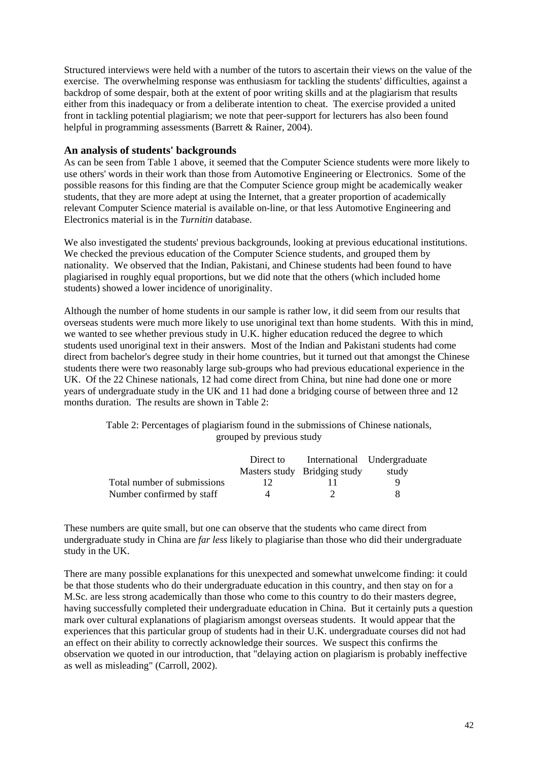Structured interviews were held with a number of the tutors to ascertain their views on the value of the exercise. The overwhelming response was enthusiasm for tackling the students' difficulties, against a backdrop of some despair, both at the extent of poor writing skills and at the plagiarism that results either from this inadequacy or from a deliberate intention to cheat. The exercise provided a united front in tackling potential plagiarism; we note that peer-support for lecturers has also been found helpful in programming assessments (Barrett & Rainer, 2004).

## **An analysis of students' backgrounds**

As can be seen from Table 1 above, it seemed that the Computer Science students were more likely to use others' words in their work than those from Automotive Engineering or Electronics. Some of the possible reasons for this finding are that the Computer Science group might be academically weaker students, that they are more adept at using the Internet, that a greater proportion of academically relevant Computer Science material is available on-line, or that less Automotive Engineering and Electronics material is in the *Turnitin* database.

We also investigated the students' previous backgrounds, looking at previous educational institutions. We checked the previous education of the Computer Science students, and grouped them by nationality. We observed that the Indian, Pakistani, and Chinese students had been found to have plagiarised in roughly equal proportions, but we did note that the others (which included home students) showed a lower incidence of unoriginality.

Although the number of home students in our sample is rather low, it did seem from our results that overseas students were much more likely to use unoriginal text than home students. With this in mind, we wanted to see whether previous study in U.K. higher education reduced the degree to which students used unoriginal text in their answers. Most of the Indian and Pakistani students had come direct from bachelor's degree study in their home countries, but it turned out that amongst the Chinese students there were two reasonably large sub-groups who had previous educational experience in the UK. Of the 22 Chinese nationals, 12 had come direct from China, but nine had done one or more years of undergraduate study in the UK and 11 had done a bridging course of between three and 12 months duration. The results are shown in Table 2:

> Table 2: Percentages of plagiarism found in the submissions of Chinese nationals, grouped by previous study

|                             | Direct to |                              | International Undergraduate |
|-----------------------------|-----------|------------------------------|-----------------------------|
|                             |           | Masters study Bridging study | study                       |
| Total number of submissions |           |                              | О                           |
| Number confirmed by staff   |           |                              |                             |

These numbers are quite small, but one can observe that the students who came direct from undergraduate study in China are *far less* likely to plagiarise than those who did their undergraduate study in the UK.

There are many possible explanations for this unexpected and somewhat unwelcome finding: it could be that those students who do their undergraduate education in this country, and then stay on for a M.Sc. are less strong academically than those who come to this country to do their masters degree, having successfully completed their undergraduate education in China. But it certainly puts a question mark over cultural explanations of plagiarism amongst overseas students. It would appear that the experiences that this particular group of students had in their U.K. undergraduate courses did not had an effect on their ability to correctly acknowledge their sources. We suspect this confirms the observation we quoted in our introduction, that "delaying action on plagiarism is probably ineffective as well as misleading" (Carroll, 2002).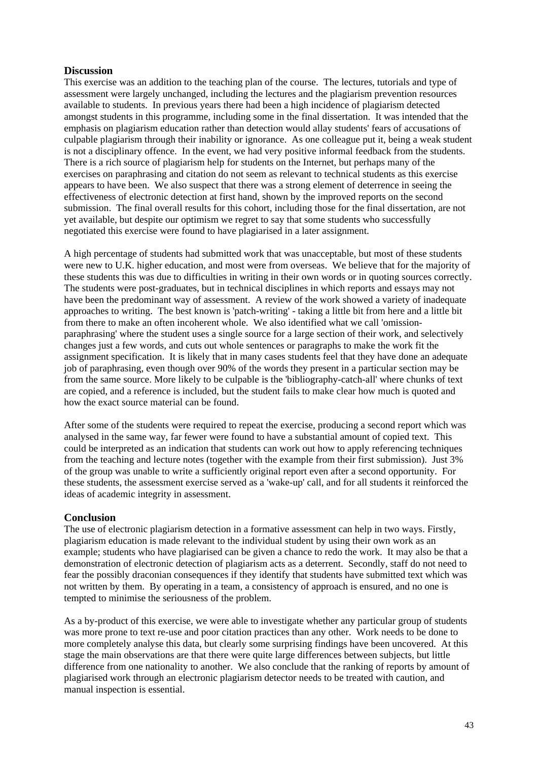# **Discussion**

This exercise was an addition to the teaching plan of the course. The lectures, tutorials and type of assessment were largely unchanged, including the lectures and the plagiarism prevention resources available to students. In previous years there had been a high incidence of plagiarism detected amongst students in this programme, including some in the final dissertation. It was intended that the emphasis on plagiarism education rather than detection would allay students' fears of accusations of culpable plagiarism through their inability or ignorance. As one colleague put it, being a weak student is not a disciplinary offence. In the event, we had very positive informal feedback from the students. There is a rich source of plagiarism help for students on the Internet, but perhaps many of the exercises on paraphrasing and citation do not seem as relevant to technical students as this exercise appears to have been. We also suspect that there was a strong element of deterrence in seeing the effectiveness of electronic detection at first hand, shown by the improved reports on the second submission. The final overall results for this cohort, including those for the final dissertation, are not yet available, but despite our optimism we regret to say that some students who successfully negotiated this exercise were found to have plagiarised in a later assignment.

A high percentage of students had submitted work that was unacceptable, but most of these students were new to U.K. higher education, and most were from overseas. We believe that for the majority of these students this was due to difficulties in writing in their own words or in quoting sources correctly. The students were post-graduates, but in technical disciplines in which reports and essays may not have been the predominant way of assessment. A review of the work showed a variety of inadequate approaches to writing. The best known is 'patch-writing' - taking a little bit from here and a little bit from there to make an often incoherent whole. We also identified what we call 'omissionparaphrasing' where the student uses a single source for a large section of their work, and selectively changes just a few words, and cuts out whole sentences or paragraphs to make the work fit the assignment specification. It is likely that in many cases students feel that they have done an adequate job of paraphrasing, even though over 90% of the words they present in a particular section may be from the same source. More likely to be culpable is the 'bibliography-catch-all' where chunks of text are copied, and a reference is included, but the student fails to make clear how much is quoted and how the exact source material can be found.

After some of the students were required to repeat the exercise, producing a second report which was analysed in the same way, far fewer were found to have a substantial amount of copied text. This could be interpreted as an indication that students can work out how to apply referencing techniques from the teaching and lecture notes (together with the example from their first submission). Just 3% of the group was unable to write a sufficiently original report even after a second opportunity. For these students, the assessment exercise served as a 'wake-up' call, and for all students it reinforced the ideas of academic integrity in assessment.

# **Conclusion**

The use of electronic plagiarism detection in a formative assessment can help in two ways. Firstly, plagiarism education is made relevant to the individual student by using their own work as an example; students who have plagiarised can be given a chance to redo the work. It may also be that a demonstration of electronic detection of plagiarism acts as a deterrent. Secondly, staff do not need to fear the possibly draconian consequences if they identify that students have submitted text which was not written by them. By operating in a team, a consistency of approach is ensured, and no one is tempted to minimise the seriousness of the problem.

As a by-product of this exercise, we were able to investigate whether any particular group of students was more prone to text re-use and poor citation practices than any other. Work needs to be done to more completely analyse this data, but clearly some surprising findings have been uncovered. At this stage the main observations are that there were quite large differences between subjects, but little difference from one nationality to another. We also conclude that the ranking of reports by amount of plagiarised work through an electronic plagiarism detector needs to be treated with caution, and manual inspection is essential.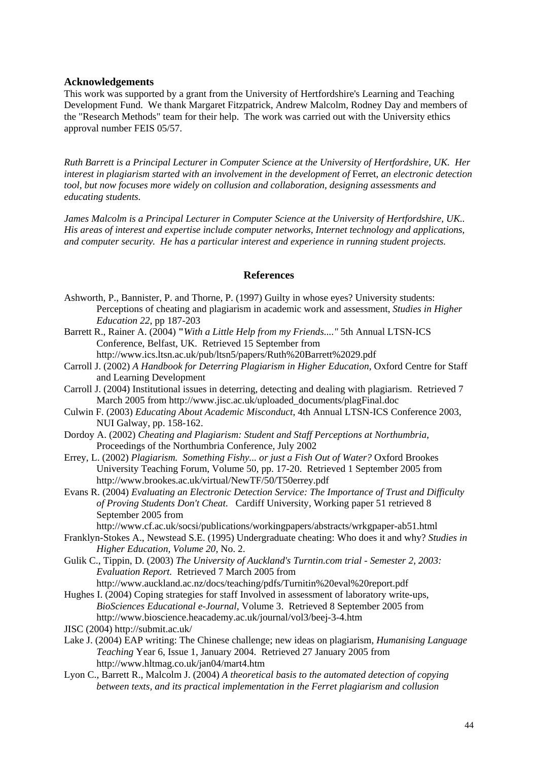#### **Acknowledgements**

This work was supported by a grant from the University of Hertfordshire's Learning and Teaching Development Fund. We thank Margaret Fitzpatrick, Andrew Malcolm, Rodney Day and members of the "Research Methods" team for their help. The work was carried out with the University ethics approval number FEIS 05/57.

*Ruth Barrett is a Principal Lecturer in Computer Science at the University of Hertfordshire, UK. Her interest in plagiarism started with an involvement in the development of* Ferret*, an electronic detection tool, but now focuses more widely on collusion and collaboration, designing assessments and educating students.* 

*James Malcolm is a Principal Lecturer in Computer Science at the University of Hertfordshire, UK.. His areas of interest and expertise include computer networks, Internet technology and applications, and computer security. He has a particular interest and experience in running student projects.* 

### **References**

- Ashworth, P., Bannister, P. and Thorne, P. (1997) Guilty in whose eyes? University students: Perceptions of cheating and plagiarism in academic work and assessment, *Studies in Higher Education 22*, pp 187-203
- Barrett R., Rainer A. (2004) **"***With a Little Help from my Friends...."* 5th Annual LTSN-ICS Conference, Belfast, UK. Retrieved 15 September from http://www.ics.ltsn.ac.uk/pub/ltsn5/papers/Ruth%20Barrett%2029.pdf
- Carroll J. (2002) *A Handbook for Deterring Plagiarism in Higher Education*, Oxford Centre for Staff and Learning Development
- Carroll J. (2004) Institutional issues in deterring, detecting and dealing with plagiarism. Retrieved 7 March 2005 from http://www.jisc.ac.uk/uploaded\_documents/plagFinal.doc
- Culwin F. (2003) *Educating About Academic Misconduct*, 4th Annual LTSN-ICS Conference 2003, NUI Galway, pp. 158-162.
- Dordoy A. (2002) *Cheating and Plagiarism: Student and Staff Perceptions at Northumbria*, Proceedings of the Northumbria Conference, July 2002
- Errey, L. (2002) *Plagiarism. Something Fishy... or just a Fish Out of Water?* Oxford Brookes University Teaching Forum, Volume 50, pp. 17-20. Retrieved 1 September 2005 from http://www.brookes.ac.uk/virtual/NewTF/50/T50errey.pdf
- Evans R. (2004) *Evaluating an Electronic Detection Service: The Importance of Trust and Difficulty of Proving Students Don't Cheat*. Cardiff University, Working paper 51 retrieved 8 September 2005 from
	- http://www.cf.ac.uk/socsi/publications/workingpapers/abstracts/wrkgpaper-ab51.html
- Franklyn-Stokes A., Newstead S.E. (1995) Undergraduate cheating: Who does it and why? *Studies in Higher Education, Volume 20*, No. 2.
- Gulik C., Tippin, D. (2003) *The University of Auckland's Turntin.com trial Semester 2, 2003: Evaluation Report.* Retrieved 7 March 2005 from
- http://www.auckland.ac.nz/docs/teaching/pdfs/Turnitin%20eval%20report.pdf Hughes I. (2004) Coping strategies for staff Involved in assessment of laboratory write-ups,
- *BioSciences Educational e-Journal*, Volume 3. Retrieved 8 September 2005 from http://www.bioscience.heacademy.ac.uk/journal/vol3/beej-3-4.htm
- JISC (2004) http://submit.ac.uk/
- Lake J. (2004) EAP writing: The Chinese challenge; new ideas on plagiarism, *Humanising Language Teaching* Year 6, Issue 1, January 2004. Retrieved 27 January 2005 from http://www.hltmag.co.uk/jan04/mart4.htm
- Lyon C., Barrett R., Malcolm J. (2004) *A theoretical basis to the automated detection of copying between texts, and its practical implementation in the Ferret plagiarism and collusion*